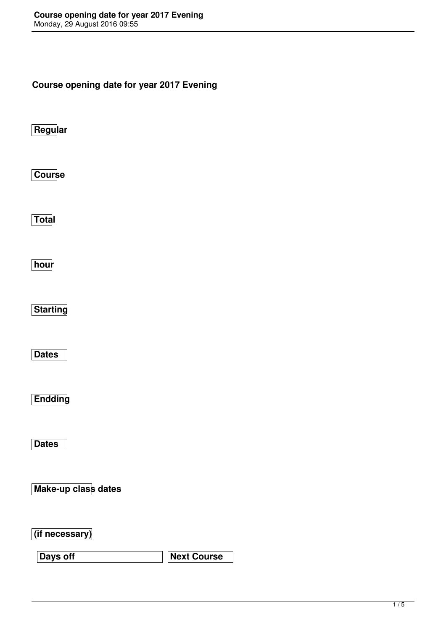**Course opening date for year 2017 Evening**

**Regular**

**Course**

**Total**

**hour**

**Starting**

**Dates**

**Endding**

**Dates**

**Make-up class dates**

**(if necessary)**

**Days off**  Next Course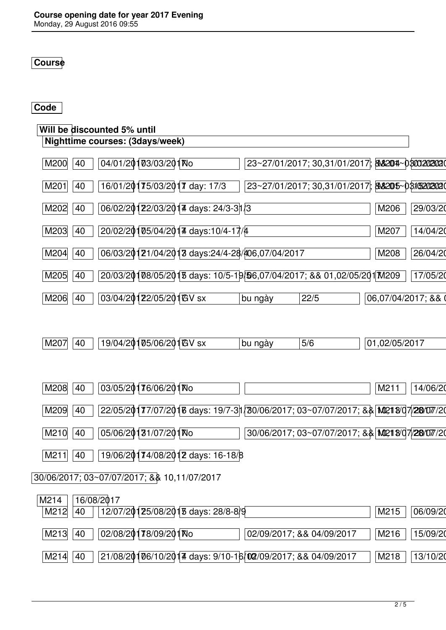## **Course**

#### **Code**

# **Will be discounted 5% until**

| Nighttime courses: (3days/week)                                                                          |          |
|----------------------------------------------------------------------------------------------------------|----------|
| 04/01/20103/03/201No<br> 23~27/01/2017; 30,31/01/2017 ; <b> &amp;&amp;204~030020202</b> 0<br>M200<br>40  |          |
| 16/01/20175/03/2017 day: 17/3<br> 23~27/01/2017; 30,31/01/2017 ; <b>8\8205~031520202</b> 0<br>M201<br>40 |          |
| 06/02/20122/03/2014 days: 24/3-31/3<br>M202<br>40<br>M206                                                | 29/03/20 |
| 20/02/20105/04/2014 days:10/4-17/4<br>M203<br>40<br>M207                                                 | 14/04/20 |
| 06/03/20121/04/2013 days:24/4-28/406,07/04/2017<br>M204<br>40<br>M208                                    | 26/04/20 |
| 20/03/20108/05/2018 days: 10/5-19/06,07/04/2017; && 01,02/05/201 M209<br>M205<br>40                      | 17/05/20 |
| 03/04/20122/05/201GV sx<br>M206<br>40<br>06,07/04/2017; &&<br>22/5<br>bu ngày                            |          |

| <b>GV</b><br>/04/20<br>05/06/20<br>40<br>M207<br><b>SX</b><br>ש. | naou<br>Ŋυ<br>. 20 V | 5/6 | 05/2017<br>ັ |
|------------------------------------------------------------------|----------------------|-----|--------------|
|                                                                  |                      |     |              |
|                                                                  |                      |     |              |

| 03/05/20176/06/201No<br>M208<br>40                                                             | M211<br>14/06/20 |
|------------------------------------------------------------------------------------------------|------------------|
| 22/05/2017/07/2016 days: 19/7-31/30/06/2017; 03~07/07/2017; && MP218/07/28/07/20<br>M209<br>40 |                  |
| 05/06/20131/07/201No<br>30/06/2017; 03~07/07/2017; && MQ218/07/28/07/20<br>M210<br>40          |                  |
| 19/06/20174/08/2012 days: 16-18/8<br>M211<br>40                                                |                  |
| 30/06/2017; 03~07/07/2017; & \$10,11/07/2017                                                   |                  |
| 16/08/2017<br>M214<br>12/07/20125/08/2013 days: 28/8-8/9<br>M212<br>40                         | M215<br>06/09/20 |
| 02/08/20178/09/201Wo<br>M213<br>40<br>02/09/2017; && 04/09/2017                                | M216<br>15/09/20 |
| 21/08/20106/10/2014 days: 9/10-16/02/09/2017; && 04/09/2017<br>M214<br>40                      | M218<br>13/10/20 |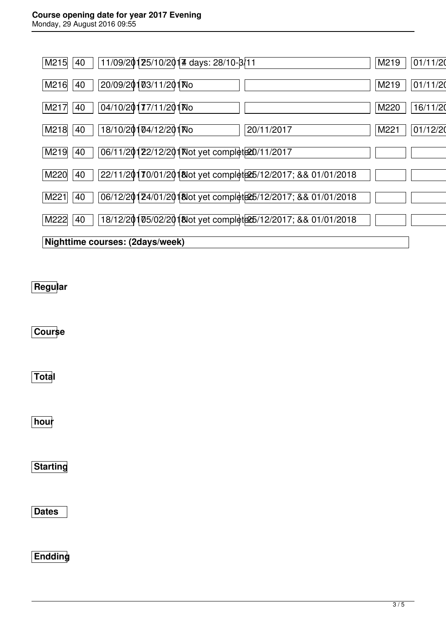## **Course opening date for year 2017 Evening**

Monday, 29 August 2016 09:55

| 11/09/20125/10/2014 days: 28/10-8/11<br>M215<br>40                           | M219 | 01/11/20 |
|------------------------------------------------------------------------------|------|----------|
| 20/09/20103/11/201No<br>M216<br>40                                           | M219 | 01/11/20 |
| 04/10/20177/11/201No<br>40<br>M217                                           | M220 | 16/11/20 |
| 18/10/20104/12/201No<br>20/11/2017<br>M218<br>40                             | M221 | 01/12/20 |
| 06/11/20122/12/201 Not yet complete20/11/2017<br>M219<br>40                  |      |          |
| 22/11/20170/01/2018 ot yet complet 25/12/2017; & & 01/01/2018<br>M220<br>40  |      |          |
| 06/12/20124/01/2018 ot yet complete 25/12/2017; & & 01/01/2018<br>M221<br>40 |      |          |
| 18/12/20105/02/2018lot yet complete 25/12/2017; & & 01/01/2018<br>M222<br>40 |      |          |
| Nighttime courses: (2days/week)                                              |      |          |

# **Regular**

**Course**

**Total**

**hour**

**Starting**

**Dates**

**Endding**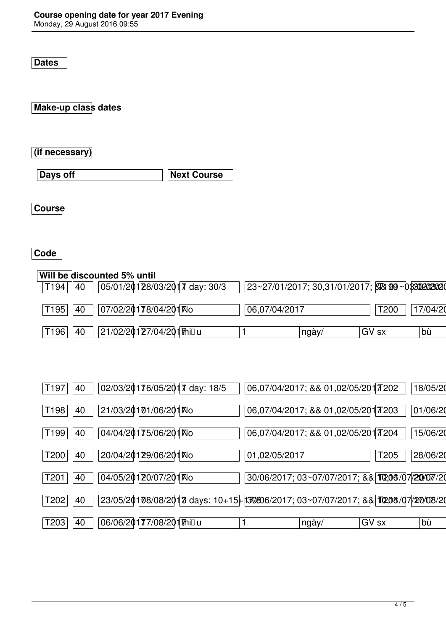**Dates**

**Make-up class dates**

**(if necessary)**

**Days off Next Course** 

**Course**

#### **Code**

|      |    | Will be discounted 5% until |                              |                               |               |                                                        |       |      |          |
|------|----|-----------------------------|------------------------------|-------------------------------|---------------|--------------------------------------------------------|-------|------|----------|
| T194 | 40 |                             |                              | 05/01/20128/03/2017 day: 30/3 |               | $ 23~27/01/2017; 30,31/01/2017 $ XXX 99 ~ 033020202020 |       |      |          |
| T195 | 40 |                             | 07/02/20178/04/201No         |                               | 06,07/04/2017 |                                                        |       | T200 | 17/04/20 |
| T196 | 40 |                             | 21/02/201่27/04/201่1ที่เป็น |                               |               | ngày/                                                  | GV sx |      | bù       |

| T197<br>40             | 02/03/20176/05/2017 day: 18/5                                                                     | 06,07/04/2017; && 01,02/05/201 77202           |       | 18/05/20 |
|------------------------|---------------------------------------------------------------------------------------------------|------------------------------------------------|-------|----------|
| T198<br>40             | 21/03/20101/06/201No                                                                              | 06,07/04/2017; && 01,02/05/2017203             |       | 01/06/20 |
| T <sub>199</sub><br>40 | 04/04/20175/06/201No                                                                              | 06,07/04/2017; && 01,02/05/201 77204           |       | 15/06/20 |
| T200<br>40             | 20/04/20129/06/201No                                                                              | 01,02/05/2017                                  | T205  | 28/06/20 |
| 40<br>T <sub>201</sub> | 04/05/20120/07/201No                                                                              | 30/06/2017; 03~07/07/2017; && TQ06/07/20/07/20 |       |          |
| 40<br>T202             | $23/05/20108/08/2018$ days: $10+15+130806/2017$ ; $03~07/07/2017$ ; & $\sqrt[3]{10208/07/201201}$ |                                                |       |          |
| T203<br>40             | 06/06/20177/08/201™illu                                                                           | ngày/                                          | GV sx | bù       |